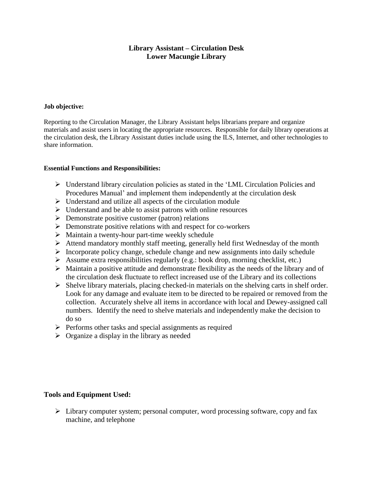# **Library Assistant – Circulation Desk Lower Macungie Library**

### **Job objective:**

Reporting to the Circulation Manager, the Library Assistant helps librarians prepare and organize materials and assist users in locating the appropriate resources. Responsible for daily library operations at the circulation desk, the Library Assistant duties include using the ILS, Internet, and other technologies to share information.

#### **Essential Functions and Responsibilities:**

- $\triangleright$  Understand library circulation policies as stated in the 'LML Circulation Policies and Procedures Manual' and implement them independently at the circulation desk
- $\triangleright$  Understand and utilize all aspects of the circulation module
- $\triangleright$  Understand and be able to assist patrons with online resources
- $\triangleright$  Demonstrate positive customer (patron) relations
- $\triangleright$  Demonstrate positive relations with and respect for co-workers
- $\triangleright$  Maintain a twenty-hour part-time weekly schedule
- $\triangleright$  Attend mandatory monthly staff meeting, generally held first Wednesday of the month
- $\triangleright$  Incorporate policy change, schedule change and new assignments into daily schedule
- $\triangleright$  Assume extra responsibilities regularly (e.g.: book drop, morning checklist, etc.)
- $\triangleright$  Maintain a positive attitude and demonstrate flexibility as the needs of the library and of the circulation desk fluctuate to reflect increased use of the Library and its collections
- $\triangleright$  Shelve library materials, placing checked-in materials on the shelving carts in shelf order. Look for any damage and evaluate item to be directed to be repaired or removed from the collection. Accurately shelve all items in accordance with local and Dewey-assigned call numbers. Identify the need to shelve materials and independently make the decision to do so
- $\triangleright$  Performs other tasks and special assignments as required
- $\triangleright$  Organize a display in the library as needed

## **Tools and Equipment Used:**

 $\triangleright$  Library computer system; personal computer, word processing software, copy and fax machine, and telephone